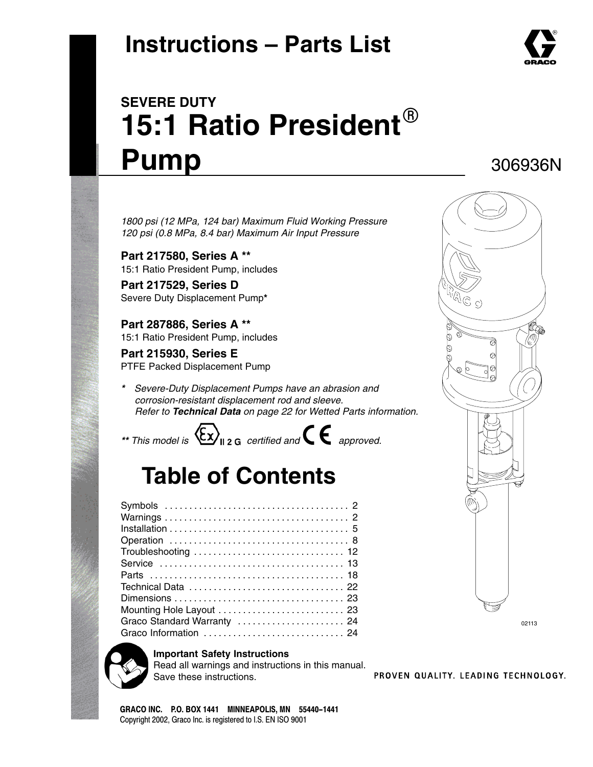# **Instructions – Parts List**



### 306936N

*1800 psi (12 MPa, 124 bar) Maximum Fluid Working Pressure 120 psi (0.8 MPa, 8.4 bar) Maximum Air Input Pressure*

**Part 217580, Series A \*\*** 15:1 Ratio President Pump, includes

**Part 217529, Series D** Severe Duty Displacement Pump**\***

**Part 287886, Series A \*\*** 15:1 Ratio President Pump, includes

**Part 215930, Series E** PTFE Packed Displacement Pump

*\* Severe-Duty Displacement Pumps have an abrasion and corrosion-resistant displacement rod and sleeve. Refer to Technical Data on page 22 for Wetted Parts information.*

\*\* *This model is*  $\langle \xi \chi \rangle_{\text{l2 G}}$  certified and  $\zeta \in$  approved.

# **Table of Contents**

| Graco Standard Warranty  24 |
|-----------------------------|
| Graco Information  24       |



#### **Important Safety Instructions**

Read all warnings and instructions in this manual. Save these instructions.

PROVEN QUALITY, LEADING TECHNOLOGY,

02113

GRACO INC. P.O. BOX 1441 MINNEAPOLIS, MN 55440-1441 Copyright 2002, Graco Inc. is registered to I.S. EN ISO 9001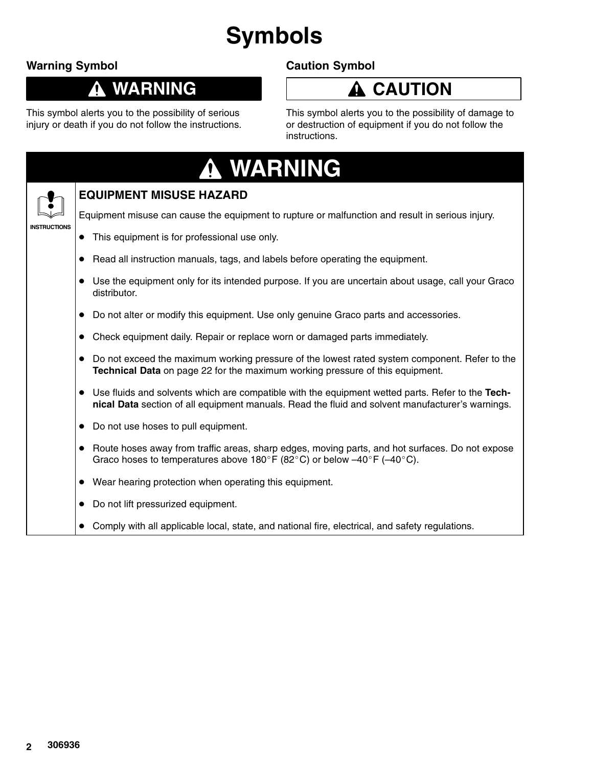# **Symbols**

### **Warning Symbol**

### **WARNING**

This symbol alerts you to the possibility of serious injury or death if you do not follow the instructions.

### **Caution Symbol**



This symbol alerts you to the possibility of damage to or destruction of equipment if you do not follow the instructions.

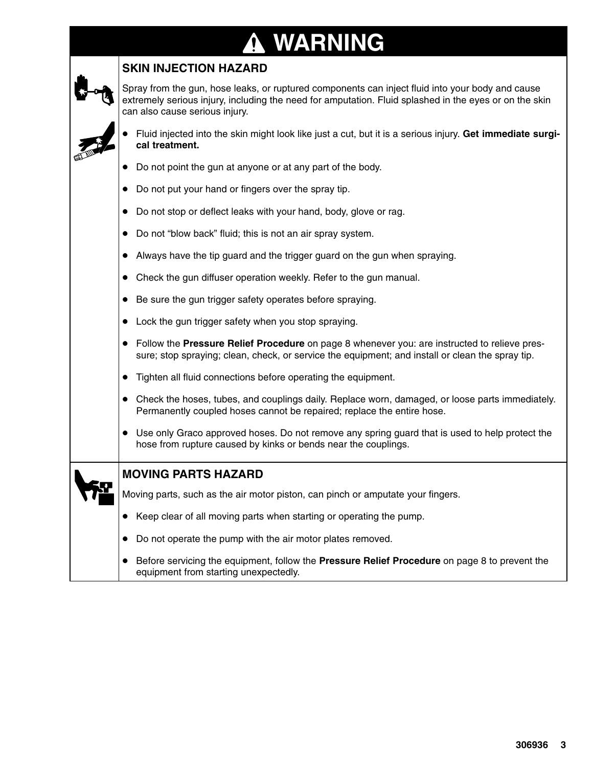# **WARNING**

### **SKIN INJECTION HAZARD**

Spray from the gun, hose leaks, or ruptured components can inject fluid into your body and cause extremely serious injury, including the need for amputation. Fluid splashed in the eyes or on the skin can also cause serious injury.

- $\bullet$  Fluid injected into the skin might look like just a cut, but it is a serious injury. **Get immediate surgical treatment.**
- $\bullet$ Do not point the gun at anyone or at any part of the body.
- $\bullet$ Do not put your hand or fingers over the spray tip.
- Do not stop or deflect leaks with your hand, body, glove or rag.
- Do not "blow back" fluid; this is not an air spray system.
- $\bullet$ Always have the tip guard and the trigger guard on the gun when spraying.
- $\bullet$ Check the gun diffuser operation weekly. Refer to the gun manual.
- $\bullet$ Be sure the gun trigger safety operates before spraying.
- $\bullet$ Lock the gun trigger safety when you stop spraying.
- Follow the **Pressure Relief Procedure** on page 8 whenever you: are instructed to relieve pressure; stop spraying; clean, check, or service the equipment; and install or clean the spray tip.
- $\bullet$ Tighten all fluid connections before operating the equipment.
- Check the hoses, tubes, and couplings daily. Replace worn, damaged, or loose parts immediately. Permanently coupled hoses cannot be repaired; replace the entire hose.
- Use only Graco approved hoses. Do not remove any spring guard that is used to help protect the hose from rupture caused by kinks or bends near the couplings.

|   |  | <b>MOVING PARTS HAZARD</b>                                                      |  |
|---|--|---------------------------------------------------------------------------------|--|
| 松 |  | Moving parts, such as the air motor piston, can pinch or amputate your fingers. |  |
|   |  | Keep clear of all moving parts when starting or operating the pump.             |  |
|   |  | Do not operate the pump with the air motor plates removed.                      |  |

**•** Before servicing the equipment, follow the **Pressure Relief Procedure** on page 8 to prevent the equipment from starting unexpectedly.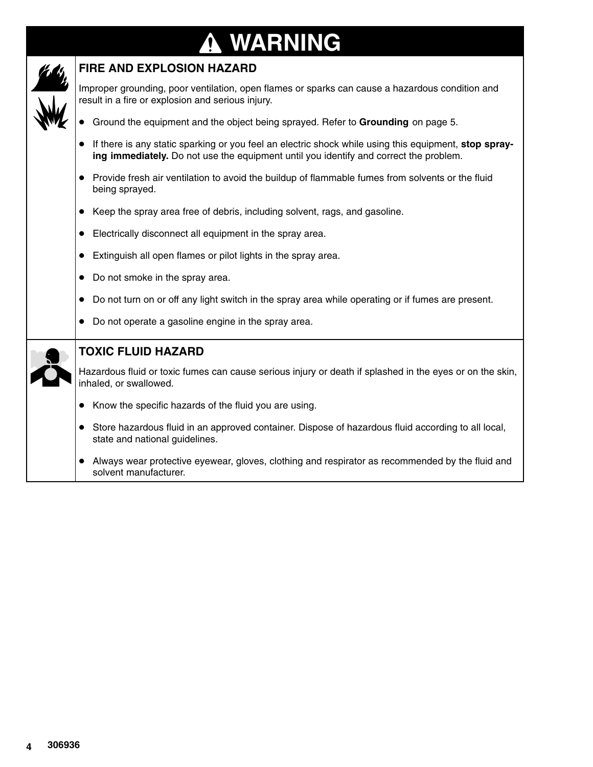### **WARNING**  $\bf \Omega$



### **FIRE AND EXPLOSION HAZARD**

Improper grounding, poor ventilation, open flames or sparks can cause a hazardous condition and result in a fire or explosion and serious injury.

- **•** Ground the equipment and the object being sprayed. Refer to Grounding on page 5.
- If there is any static sparking or you feel an electric shock while using this equipment, **stop spraying immediately.** Do not use the equipment until you identify and correct the problem.
- Provide fresh air ventilation to avoid the buildup of flammable fumes from solvents or the fluid being sprayed.
- Keep the spray area free of debris, including solvent, rags, and gasoline.
- Electrically disconnect all equipment in the spray area.
- Extinguish all open flames or pilot lights in the spray area.
- Do not smoke in the spray area.
- Do not turn on or off any light switch in the spray area while operating or if fumes are present.
- $\bullet$ Do not operate a gasoline engine in the spray area.

|  | <b>TOXIC FLUID HAZARD</b>                                                                                                            |
|--|--------------------------------------------------------------------------------------------------------------------------------------|
|  | Hazardous fluid or toxic fumes can cause serious injury or death if splashed in the eyes or on the skin,<br>inhaled, or swallowed.   |
|  | Know the specific hazards of the fluid you are using.                                                                                |
|  | Store hazardous fluid in an approved container. Dispose of hazardous fluid according to all local,<br>state and national guidelines. |
|  | Always wear protective eyewear, gloves, clothing and respirator as recommended by the fluid and<br>solvent manufacturer.             |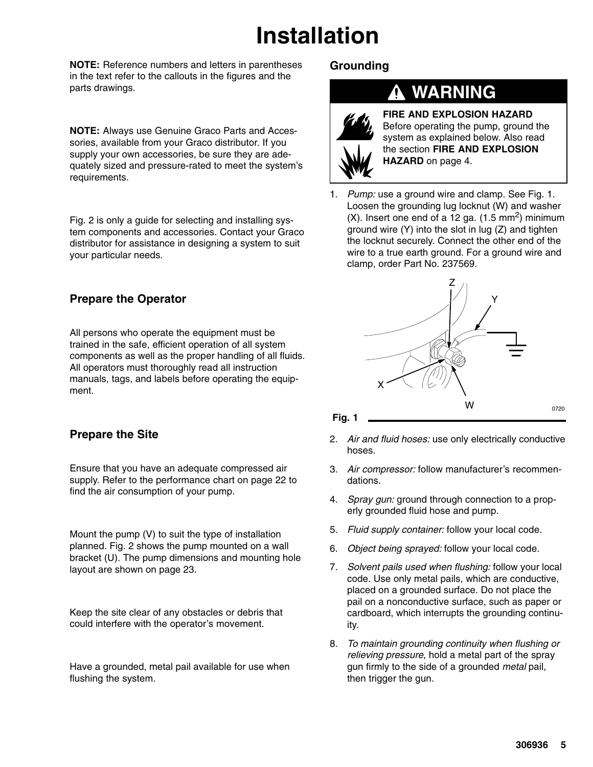# **Installation**

**NOTE:** Reference numbers and letters in parentheses in the text refer to the callouts in the figures and the parts drawings.

**NOTE:** Always use Genuine Graco Parts and Accessories, available from your Graco distributor. If you supply your own accessories, be sure they are adequately sized and pressure-rated to meet the system's requirements.

Fig. 2 is only a guide for selecting and installing system components and accessories. Contact your Graco distributor for assistance in designing a system to suit your particular needs.

### **Prepare the Operator**

All persons who operate the equipment must be trained in the safe, efficient operation of all system components as well as the proper handling of all fluids. All operators must thoroughly read all instruction manuals, tags, and labels before operating the equipment.

### **Prepare the Site**

Ensure that you have an adequate compressed air supply. Refer to the performance chart on page 22 to find the air consumption of your pump.

Mount the pump (V) to suit the type of installation planned. Fig. 2 shows the pump mounted on a wall bracket (U). The pump dimensions and mounting hole layout are shown on page 23.

Keep the site clear of any obstacles or debris that could interfere with the operator's movement.

Have a grounded, metal pail available for use when flushing the system.

### **Grounding**

### **WARNING**



**FIRE AND EXPLOSION HAZARD** Before operating the pump, ground the system as explained below. Also read the section **FIRE AND EXPLOSION HAZARD** on page 4.

1. *Pump:* use a ground wire and clamp. See Fig. 1. Loosen the grounding lug locknut (W) and washer  $(X)$ . Insert one end of a 12 ga.  $(1.5 \text{ mm}^2)$  minimum ground wire (Y) into the slot in lug (Z) and tighten the locknut securely. Connect the other end of the wire to a true earth ground. For a ground wire and clamp, order Part No. 237569.





- 2. *Air and fluid hoses:* use only electrically conductive hoses.
- 3. *Air compressor:* follow manufacturer's recommendations.
- 4. *Spray gun:* ground through connection to a properly grounded fluid hose and pump.
- 5. *Fluid supply container:* follow your local code.
- 6. *Object being sprayed:* follow your local code.
- 7. *Solvent pails used when flushing:* follow your local code. Use only metal pails, which are conductive, placed on a grounded surface. Do not place the pail on a nonconductive surface, such as paper or cardboard, which interrupts the grounding continuity.
- 8. *To maintain grounding continuity when flushing or relieving pressure*, hold a metal part of the spray gun firmly to the side of a grounded *metal* pail, then trigger the gun.

0720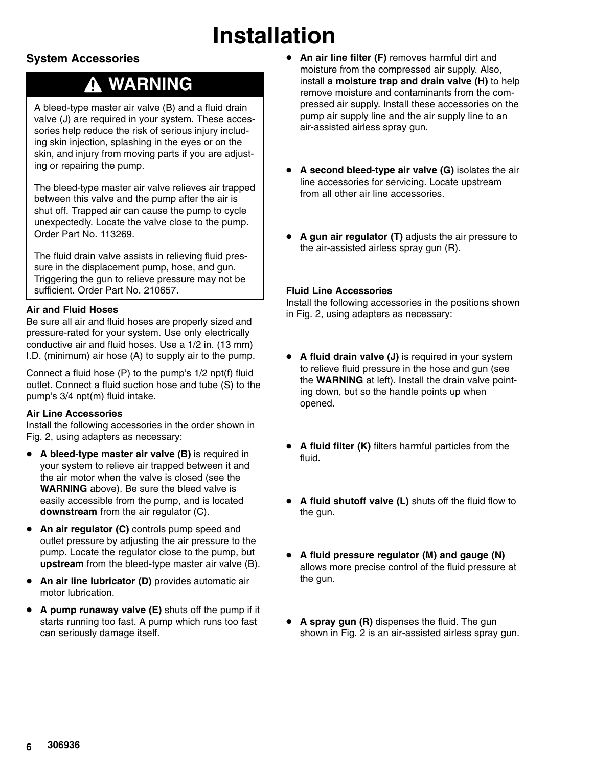# **Installation**

### **System Accessories**

## **WARNING**

A bleed-type master air valve (B) and a fluid drain valve (J) are required in your system. These accessories help reduce the risk of serious injury including skin injection, splashing in the eyes or on the skin, and injury from moving parts if you are adjusting or repairing the pump.

The bleed-type master air valve relieves air trapped between this valve and the pump after the air is shut off. Trapped air can cause the pump to cycle unexpectedly. Locate the valve close to the pump. Order Part No. 113269.

The fluid drain valve assists in relieving fluid pressure in the displacement pump, hose, and gun. Triggering the gun to relieve pressure may not be sufficient. Order Part No. 210657.

#### **Air and Fluid Hoses**

Be sure all air and fluid hoses are properly sized and pressure-rated for your system. Use only electrically conductive air and fluid hoses. Use a 1/2 in. (13 mm) I.D. (minimum) air hose (A) to supply air to the pump.

Connect a fluid hose (P) to the pump's 1/2 npt(f) fluid outlet. Connect a fluid suction hose and tube (S) to the pump's 3/4 npt(m) fluid intake.

#### **Air Line Accessories**

Install the following accessories in the order shown in Fig. 2, using adapters as necessary:

- **•** A bleed-type master air valve (B) is required in your system to relieve air trapped between it and the air motor when the valve is closed (see the **WARNING** above). Be sure the bleed valve is easily accessible from the pump, and is located **downstream** from the air regulator (C).
- $\bullet$  **An air regulator (C)** controls pump speed and outlet pressure by adjusting the air pressure to the pump. Locate the regulator close to the pump, but **upstream** from the bleed-type master air valve (B).
- $\bullet$  **An air line lubricator (D)** provides automatic air motor lubrication.
- **A pump runaway valve (E)** shuts off the pump if it starts running too fast. A pump which runs too fast can seriously damage itself.
- **An air line filter (F)** removes harmful dirt and moisture from the compressed air supply. Also, install **a moisture trap and drain valve (H)** to help remove moisture and contaminants from the compressed air supply. Install these accessories on the pump air supply line and the air supply line to an air-assisted airless spray gun.
- **A second bleed-type air valve (G)** isolates the air line accessories for servicing. Locate upstream from all other air line accessories.
- $\bullet$  **A gun air regulator (T)** adjusts the air pressure to the air-assisted airless spray gun (R).

#### **Fluid Line Accessories**

Install the following accessories in the positions shown in Fig. 2, using adapters as necessary:

- **A fluid drain valve (J)** is required in your system to relieve fluid pressure in the hose and gun (see the **WARNING** at left). Install the drain valve pointing down, but so the handle points up when opened.
- **A fluid filter (K)** filters harmful particles from the fluid.
- **A fluid shutoff valve (L)** shuts off the fluid flow to the gun.
- **A fluid pressure regulator (M) and gauge (N)** allows more precise control of the fluid pressure at the gun.
- $\bullet$  **A spray gun (R)** dispenses the fluid. The gun shown in Fig. 2 is an air-assisted airless spray gun.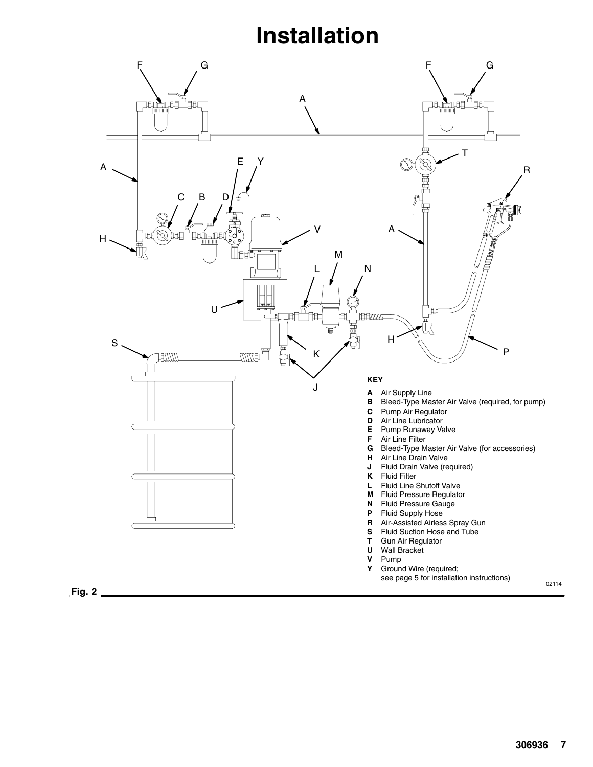## **Installation**

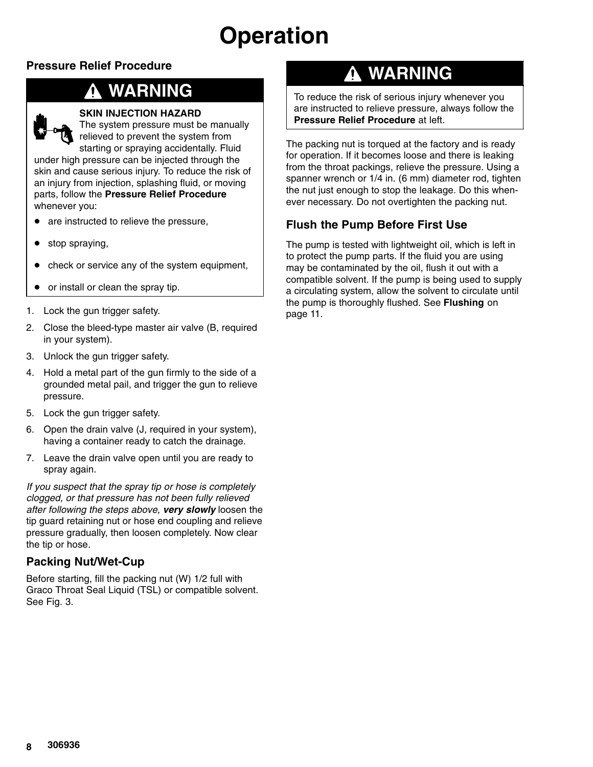### **Pressure Relief Procedure**

### **WARNING**



#### **SKIN INJECTION HAZARD**

The system pressure must be manually relieved to prevent the system from starting or spraying accidentally. Fluid

under high pressure can be injected through the skin and cause serious injury. To reduce the risk of an injury from injection, splashing fluid, or moving parts, follow the **Pressure Relief Procedure** whenever you:

- are instructed to relieve the pressure,
- $\bullet$ stop spraying,
- $\bullet$ check or service any of the system equipment,
- $\bullet$ or install or clean the spray tip.
- 1. Lock the gun trigger safety.
- 2. Close the bleed-type master air valve (B, required in your system).
- 3. Unlock the gun trigger safety.
- 4. Hold a metal part of the gun firmly to the side of a grounded metal pail, and trigger the gun to relieve pressure.
- 5. Lock the gun trigger safety.
- 6. Open the drain valve (J, required in your system), having a container ready to catch the drainage.
- 7. Leave the drain valve open until you are ready to spray again.

*If you suspect that the spray tip or hose is completely clogged, or that pressure has not been fully relieved after following the steps above, very slowly* loosen the tip guard retaining nut or hose end coupling and relieve pressure gradually, then loosen completely. Now clear the tip or hose.

### **Packing Nut/Wet-Cup**

Before starting, fill the packing nut (W) 1/2 full with Graco Throat Seal Liquid (TSL) or compatible solvent. See Fig. 3.

## **WARNING**

To reduce the risk of serious injury whenever you are instructed to relieve pressure, always follow the **Pressure Relief Procedure** at left.

The packing nut is torqued at the factory and is ready for operation. If it becomes loose and there is leaking from the throat packings, relieve the pressure. Using a spanner wrench or 1/4 in. (6 mm) diameter rod, tighten the nut just enough to stop the leakage. Do this whenever necessary. Do not overtighten the packing nut.

### **Flush the Pump Before First Use**

The pump is tested with lightweight oil, which is left in to protect the pump parts. If the fluid you are using may be contaminated by the oil, flush it out with a compatible solvent. If the pump is being used to supply a circulating system, allow the solvent to circulate until the pump is thoroughly flushed. See **Flushing** on page 11.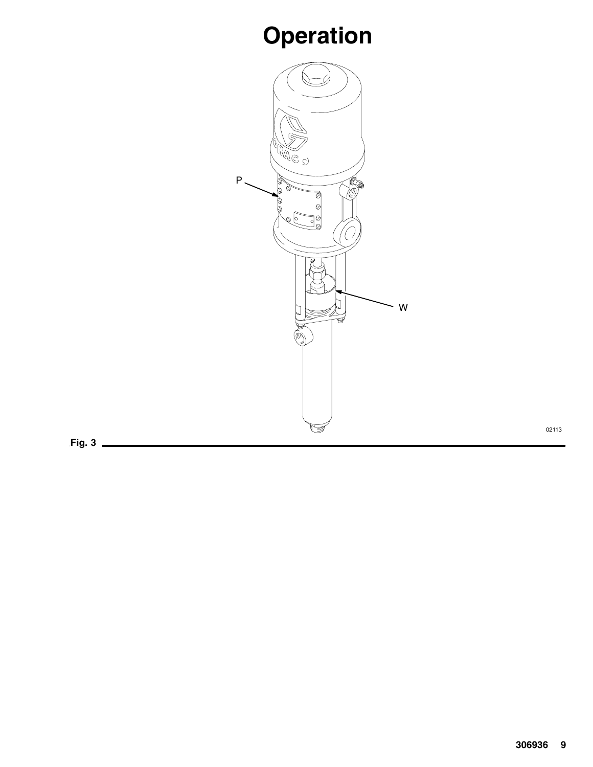

**Fig. 3**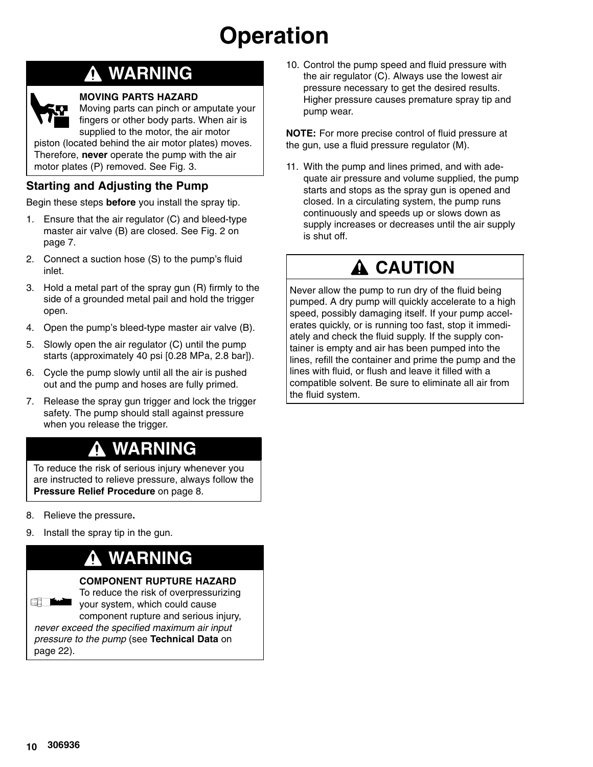## **WARNING**



Moving parts can pinch or amputate your fingers or other body parts. When air is supplied to the motor, the air motor

piston (located behind the air motor plates) moves. Therefore, **never** operate the pump with the air motor plates (P) removed. See Fig. 3.

### **Starting and Adjusting the Pump**

Begin these steps **before** you install the spray tip.

- 1. Ensure that the air regulator (C) and bleed-type master air valve (B) are closed. See Fig. 2 on page 7.
- 2. Connect a suction hose (S) to the pump's fluid inlet.
- 3. Hold a metal part of the spray gun (R) firmly to the side of a grounded metal pail and hold the trigger open.
- 4. Open the pump's bleed-type master air valve (B).
- 5. Slowly open the air regulator (C) until the pump starts (approximately 40 psi [0.28 MPa, 2.8 bar]).
- 6. Cycle the pump slowly until all the air is pushed out and the pump and hoses are fully primed.
- 7. Release the spray gun trigger and lock the trigger safety. The pump should stall against pressure when you release the trigger.

## **WARNING**

To reduce the risk of serious injury whenever you are instructed to relieve pressure, always follow the **Pressure Relief Procedure** on page 8.

- 8. Relieve the pressure**.**
- 9. Install the spray tip in the gun.

### **WARNING**

#### **COMPONENT RUPTURE HAZARD**

To reduce the risk of overpressurizing **Experience of the Contract of the Contract of the Contract of the Contract of the Contract of The Contract of T** your system, which could cause component rupture and serious injury, *never exceed the specified maximum air input pressure to the pump* (see **Technical Data** on page 22).

10. Control the pump speed and fluid pressure with the air regulator (C). Always use the lowest air pressure necessary to get the desired results. Higher pressure causes premature spray tip and pump wear.

**NOTE:** For more precise control of fluid pressure at the gun, use a fluid pressure regulator (M).

11. With the pump and lines primed, and with adequate air pressure and volume supplied, the pump starts and stops as the spray gun is opened and closed. In a circulating system, the pump runs continuously and speeds up or slows down as supply increases or decreases until the air supply is shut off.

## **A CAUTION**

Never allow the pump to run dry of the fluid being pumped. A dry pump will quickly accelerate to a high speed, possibly damaging itself. If your pump accelerates quickly, or is running too fast, stop it immediately and check the fluid supply. If the supply container is empty and air has been pumped into the lines, refill the container and prime the pump and the lines with fluid, or flush and leave it filled with a compatible solvent. Be sure to eliminate all air from the fluid system.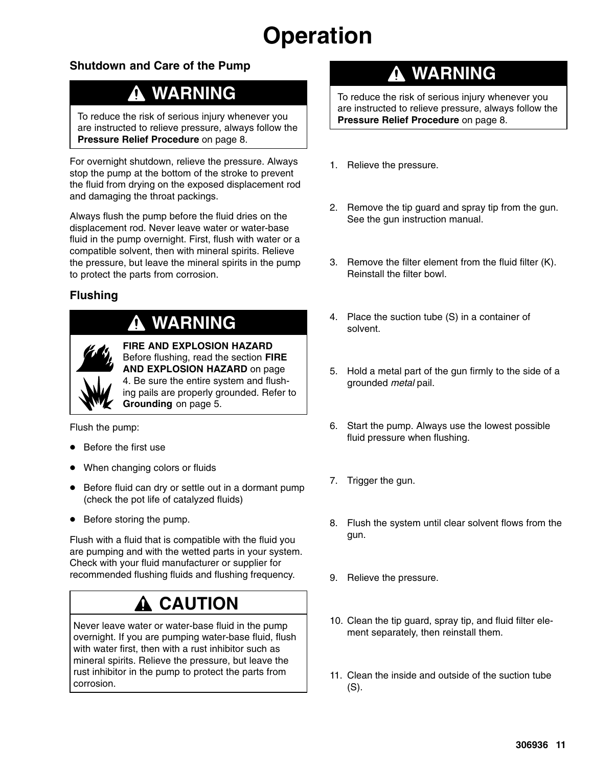### **Shutdown and Care of the Pump**

## **WARNING**

To reduce the risk of serious injury whenever you are instructed to relieve pressure, always follow the **Pressure Relief Procedure** on page 8.

For overnight shutdown, relieve the pressure. Always stop the pump at the bottom of the stroke to prevent the fluid from drying on the exposed displacement rod and damaging the throat packings.

Always flush the pump before the fluid dries on the displacement rod. Never leave water or water-base fluid in the pump overnight. First, flush with water or a compatible solvent, then with mineral spirits. Relieve the pressure, but leave the mineral spirits in the pump to protect the parts from corrosion.

### **Flushing**

## **WARNING**



**FIRE AND EXPLOSION HAZARD** Before flushing, read the section **FIRE AND EXPLOSION HAZARD** on page 4. Be sure the entire system and flushing pails are properly grounded. Refer to **Grounding** on page 5.

Flush the pump:

- $\bullet$ Before the first use
- $\bullet$ When changing colors or fluids
- Before fluid can dry or settle out in a dormant pump (check the pot life of catalyzed fluids)
- Before storing the pump.

Flush with a fluid that is compatible with the fluid you are pumping and with the wetted parts in your system. Check with your fluid manufacturer or supplier for recommended flushing fluids and flushing frequency.

## **CAUTION**

Never leave water or water-base fluid in the pump overnight. If you are pumping water-base fluid, flush with water first, then with a rust inhibitor such as mineral spirits. Relieve the pressure, but leave the rust inhibitor in the pump to protect the parts from corrosion.

### **WARNING**

To reduce the risk of serious injury whenever you are instructed to relieve pressure, always follow the **Pressure Relief Procedure** on page 8.

- 1. Relieve the pressure.
- 2. Remove the tip guard and spray tip from the gun. See the gun instruction manual.
- 3. Remove the filter element from the fluid filter (K). Reinstall the filter bowl.
- 4. Place the suction tube (S) in a container of solvent.
- 5. Hold a metal part of the gun firmly to the side of a grounded *metal* pail.
- 6. Start the pump. Always use the lowest possible fluid pressure when flushing.
- 7. Trigger the gun.
- 8. Flush the system until clear solvent flows from the gun.
- 9. Relieve the pressure.
- 10. Clean the tip guard, spray tip, and fluid filter element separately, then reinstall them.
- 11. Clean the inside and outside of the suction tube (S).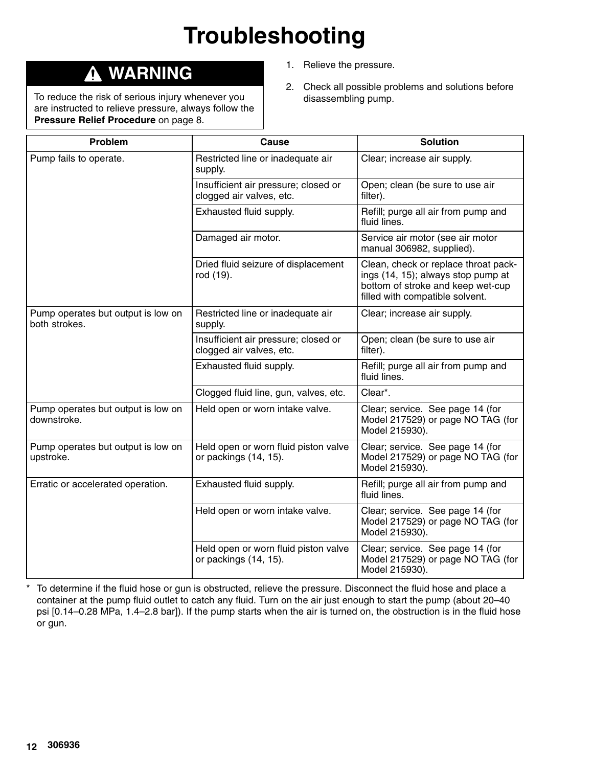# **Troubleshooting**

## **WARNING**

To reduce the risk of serious injury whenever you are instructed to relieve pressure, always follow the **Pressure Relief Procedure** on page 8.

- 1. Relieve the pressure.
- 2. Check all possible problems and solutions before disassembling pump.

| Problem                                             | <b>Cause</b>                                                     | <b>Solution</b>                                                                                                                                    |
|-----------------------------------------------------|------------------------------------------------------------------|----------------------------------------------------------------------------------------------------------------------------------------------------|
| Pump fails to operate.                              | Restricted line or inadequate air<br>supply.                     | Clear; increase air supply.                                                                                                                        |
|                                                     | Insufficient air pressure; closed or<br>clogged air valves, etc. | Open; clean (be sure to use air<br>filter).                                                                                                        |
|                                                     | Exhausted fluid supply.                                          | Refill; purge all air from pump and<br>fluid lines.                                                                                                |
|                                                     | Damaged air motor.                                               | Service air motor (see air motor<br>manual 306982, supplied).                                                                                      |
|                                                     | Dried fluid seizure of displacement<br>rod (19).                 | Clean, check or replace throat pack-<br>ings (14, 15); always stop pump at<br>bottom of stroke and keep wet-cup<br>filled with compatible solvent. |
| Pump operates but output is low on<br>both strokes. | Restricted line or inadequate air<br>supply.                     | Clear; increase air supply.                                                                                                                        |
|                                                     | Insufficient air pressure; closed or<br>clogged air valves, etc. | Open; clean (be sure to use air<br>filter).                                                                                                        |
|                                                     | Exhausted fluid supply.                                          | Refill; purge all air from pump and<br>fluid lines.                                                                                                |
|                                                     | Clogged fluid line, gun, valves, etc.                            | Clear*.                                                                                                                                            |
| Pump operates but output is low on<br>downstroke.   | Held open or worn intake valve.                                  | Clear; service. See page 14 (for<br>Model 217529) or page NO TAG (for<br>Model 215930).                                                            |
| Pump operates but output is low on<br>upstroke.     | Held open or worn fluid piston valve<br>or packings (14, 15).    | Clear; service. See page 14 (for<br>Model 217529) or page NO TAG (for<br>Model 215930).                                                            |
| Erratic or accelerated operation.                   | Exhausted fluid supply.                                          | Refill; purge all air from pump and<br>fluid lines.                                                                                                |
|                                                     | Held open or worn intake valve.                                  | Clear; service. See page 14 (for<br>Model 217529) or page NO TAG (for<br>Model 215930).                                                            |
|                                                     | Held open or worn fluid piston valve<br>or packings (14, 15).    | Clear; service. See page 14 (for<br>Model 217529) or page NO TAG (for<br>Model 215930).                                                            |

\* To determine if the fluid hose or gun is obstructed, relieve the pressure. Disconnect the fluid hose and place a container at the pump fluid outlet to catch any fluid. Turn on the air just enough to start the pump (about 20–40 psi [0.14–0.28 MPa, 1.4–2.8 bar]). If the pump starts when the air is turned on, the obstruction is in the fluid hose or gun.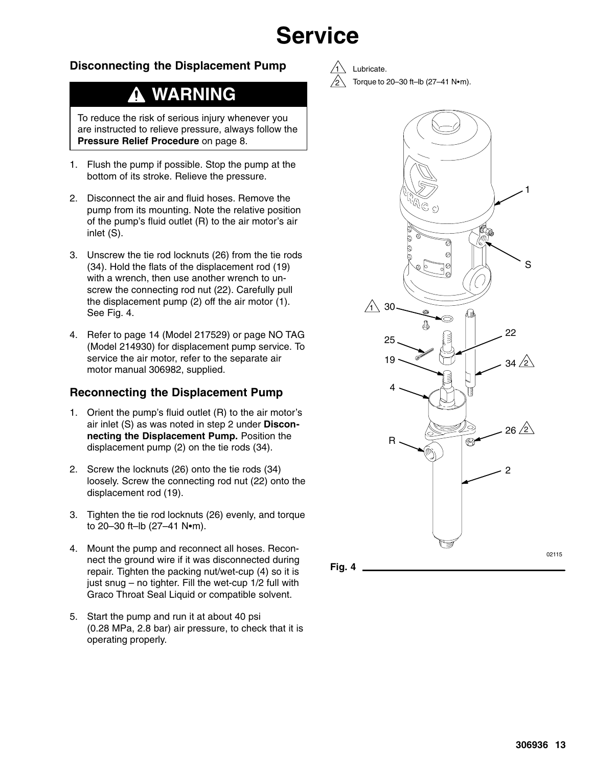# **Service**

#### **Disconnecting the Displacement Pump**

## **WARNING**

To reduce the risk of serious injury whenever you are instructed to relieve pressure, always follow the **Pressure Relief Procedure** on page 8.

- 1. Flush the pump if possible. Stop the pump at the bottom of its stroke. Relieve the pressure.
- 2. Disconnect the air and fluid hoses. Remove the pump from its mounting. Note the relative position of the pump's fluid outlet (R) to the air motor's air inlet (S).
- 3. Unscrew the tie rod locknuts (26) from the tie rods (34). Hold the flats of the displacement rod (19) with a wrench, then use another wrench to unscrew the connecting rod nut (22). Carefully pull the displacement pump (2) off the air motor (1). See Fig. 4.
- 4. Refer to page 14 (Model 217529) or page NO TAG (Model 214930) for displacement pump service. To service the air motor, refer to the separate air motor manual 306982, supplied.

#### **Reconnecting the Displacement Pump**

- 1. Orient the pump's fluid outlet (R) to the air motor's air inlet (S) as was noted in step 2 under **Disconnecting the Displacement Pump.** Position the displacement pump (2) on the tie rods (34).
- 2. Screw the locknuts (26) onto the tie rods (34) loosely. Screw the connecting rod nut (22) onto the displacement rod (19).
- 3. Tighten the tie rod locknuts (26) evenly, and torque to 20-30 ft-lb  $(27-41 \text{ N}\cdot\text{m})$ .
- 4. Mount the pump and reconnect all hoses. Reconnect the ground wire if it was disconnected during repair. Tighten the packing nut/wet-cup (4) so it is just snug – no tighter. Fill the wet-cup 1/2 full with Graco Throat Seal Liquid or compatible solvent.
- 5. Start the pump and run it at about 40 psi (0.28 MPa, 2.8 bar) air pressure, to check that it is operating properly.

Lubricate. Torque to  $20-30$  ft-lb (27-41 N $\bullet$ m).

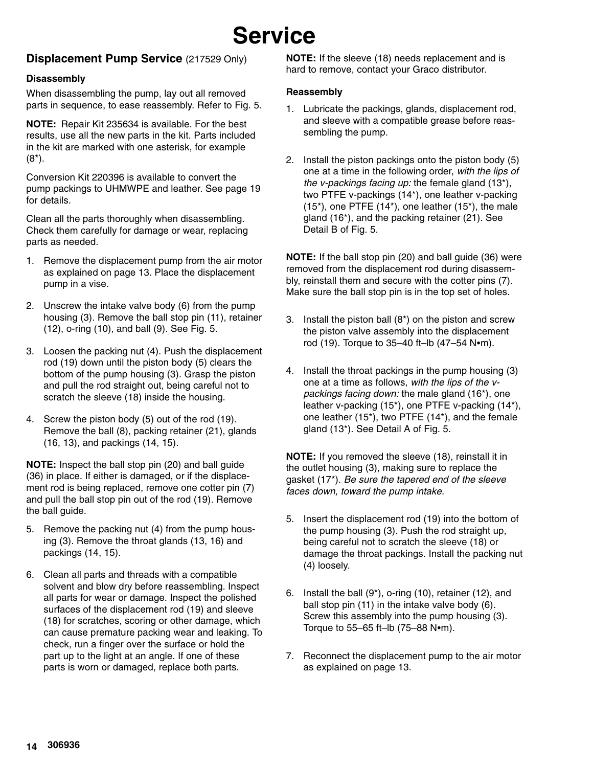# **Service**

#### **Displacement Pump Service** (217529 Only)

#### **Disassembly**

When disassembling the pump, lay out all removed parts in sequence, to ease reassembly. Refer to Fig. 5.

**NOTE:** Repair Kit 235634 is available. For the best results, use all the new parts in the kit. Parts included in the kit are marked with one asterisk, for example (8\*).

Conversion Kit 220396 is available to convert the pump packings to UHMWPE and leather. See page 19 for details.

Clean all the parts thoroughly when disassembling. Check them carefully for damage or wear, replacing parts as needed.

- 1. Remove the displacement pump from the air motor as explained on page 13. Place the displacement pump in a vise.
- 2. Unscrew the intake valve body (6) from the pump housing (3). Remove the ball stop pin (11), retainer (12), o-ring (10), and ball (9). See Fig. 5.
- 3. Loosen the packing nut (4). Push the displacement rod (19) down until the piston body (5) clears the bottom of the pump housing (3). Grasp the piston and pull the rod straight out, being careful not to scratch the sleeve (18) inside the housing.
- 4. Screw the piston body (5) out of the rod (19). Remove the ball (8), packing retainer (21), glands (16, 13), and packings (14, 15).

**NOTE:** Inspect the ball stop pin (20) and ball guide (36) in place. If either is damaged, or if the displacement rod is being replaced, remove one cotter pin (7) and pull the ball stop pin out of the rod (19). Remove the ball guide.

- 5. Remove the packing nut (4) from the pump housing (3). Remove the throat glands (13, 16) and packings (14, 15).
- 6. Clean all parts and threads with a compatible solvent and blow dry before reassembling. Inspect all parts for wear or damage. Inspect the polished surfaces of the displacement rod (19) and sleeve (18) for scratches, scoring or other damage, which can cause premature packing wear and leaking. To check, run a finger over the surface or hold the part up to the light at an angle. If one of these parts is worn or damaged, replace both parts.

**NOTE:** If the sleeve (18) needs replacement and is hard to remove, contact your Graco distributor.

#### **Reassembly**

- 1. Lubricate the packings, glands, displacement rod, and sleeve with a compatible grease before reassembling the pump.
- 2. Install the piston packings onto the piston body (5) one at a time in the following order, *with the lips of the v-packings facing up:* the female gland (13\*), two PTFE v-packings (14\*), one leather v-packing  $(15<sup>*</sup>)$ , one PTFE  $(14<sup>*</sup>)$ , one leather  $(15<sup>*</sup>)$ , the male gland (16\*), and the packing retainer (21). See Detail B of Fig. 5.

**NOTE:** If the ball stop pin (20) and ball guide (36) were removed from the displacement rod during disassembly, reinstall them and secure with the cotter pins (7). Make sure the ball stop pin is in the top set of holes.

- 3. Install the piston ball  $(8<sup>*</sup>)$  on the piston and screw the piston valve assembly into the displacement rod (19). Torque to  $35-40$  ft-lb (47-54 N $\bullet$ m).
- 4. Install the throat packings in the pump housing (3) one at a time as follows, *with the lips of the vpackings facing down:* the male gland (16\*), one leather v-packing (15\*), one PTFE v-packing (14\*), one leather (15\*), two PTFE (14\*), and the female gland (13\*). See Detail A of Fig. 5.

**NOTE:** If you removed the sleeve (18), reinstall it in the outlet housing (3), making sure to replace the gasket (17\*). *Be sure the tapered end of the sleeve faces down, toward the pump intake.*

- 5. Insert the displacement rod (19) into the bottom of the pump housing (3). Push the rod straight up, being careful not to scratch the sleeve (18) or damage the throat packings. Install the packing nut (4) loosely.
- 6. Install the ball (9\*), o-ring (10), retainer (12), and ball stop pin (11) in the intake valve body (6). Screw this assembly into the pump housing (3). Torque to 55-65 ft-lb (75-88 N $\bullet$ m).
- 7. Reconnect the displacement pump to the air motor as explained on page 13.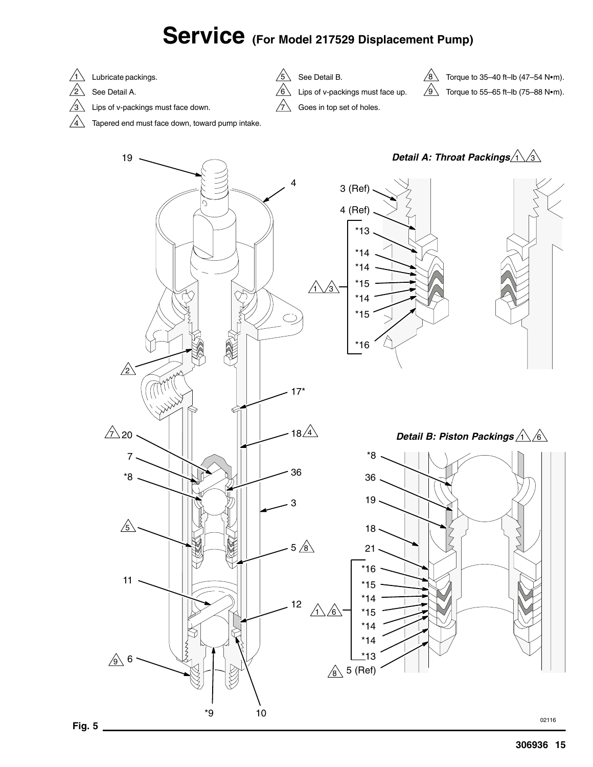## Service (For Model 217529 Displacement Pump)



- $\sqrt{2}$ See Detail A.
- $\sqrt{3}$ Lips of v-packings must face down.
- $\sqrt{4}$ Tapered end must face down, toward pump intake.



7



Goes in top set of holes.

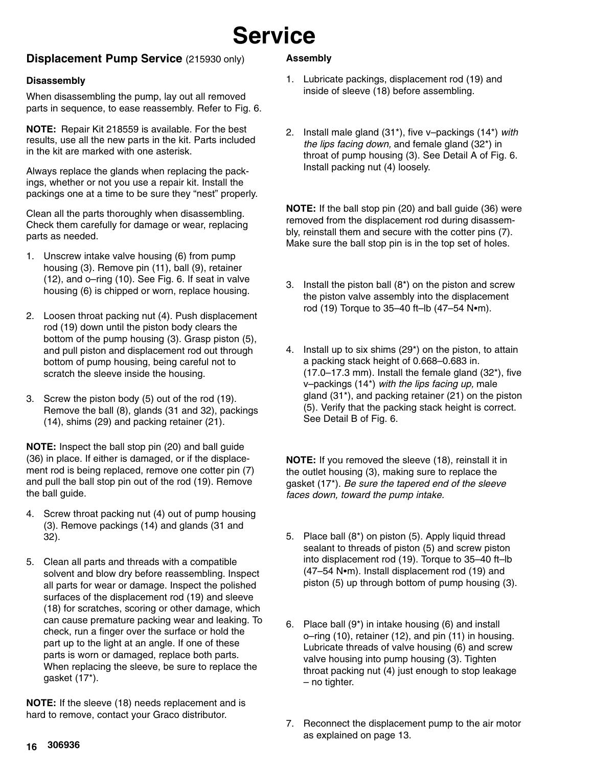## **Service**

#### **Displacement Pump Service** (215930 only)

#### **Disassembly**

When disassembling the pump, lay out all removed parts in sequence, to ease reassembly. Refer to Fig. 6.

**NOTE:** Repair Kit 218559 is available. For the best results, use all the new parts in the kit. Parts included in the kit are marked with one asterisk.

Always replace the glands when replacing the packings, whether or not you use a repair kit. Install the packings one at a time to be sure they "nest" properly.

Clean all the parts thoroughly when disassembling. Check them carefully for damage or wear, replacing parts as needed.

- 1. Unscrew intake valve housing (6) from pump housing (3). Remove pin (11), ball (9), retainer (12), and o–ring (10). See Fig. 6. If seat in valve housing (6) is chipped or worn, replace housing.
- 2. Loosen throat packing nut (4). Push displacement rod (19) down until the piston body clears the bottom of the pump housing (3). Grasp piston (5), and pull piston and displacement rod out through bottom of pump housing, being careful not to scratch the sleeve inside the housing.
- 3. Screw the piston body (5) out of the rod (19). Remove the ball (8), glands (31 and 32), packings (14), shims (29) and packing retainer (21).

**NOTE:** Inspect the ball stop pin (20) and ball guide (36) in place. If either is damaged, or if the displacement rod is being replaced, remove one cotter pin (7) and pull the ball stop pin out of the rod (19). Remove the ball guide.

- 4. Screw throat packing nut (4) out of pump housing (3). Remove packings (14) and glands (31 and 32).
- 5. Clean all parts and threads with a compatible solvent and blow dry before reassembling. Inspect all parts for wear or damage. Inspect the polished surfaces of the displacement rod (19) and sleeve (18) for scratches, scoring or other damage, which can cause premature packing wear and leaking. To check, run a finger over the surface or hold the part up to the light at an angle. If one of these parts is worn or damaged, replace both parts. When replacing the sleeve, be sure to replace the gasket (17\*).

**NOTE:** If the sleeve (18) needs replacement and is hard to remove, contact your Graco distributor.

#### **Assembly**

- 1. Lubricate packings, displacement rod (19) and inside of sleeve (18) before assembling.
- 2. Install male gland (31\*), five v–packings (14\*) *with the lips facing down,* and female gland (32\*) in throat of pump housing (3). See Detail A of Fig. 6. Install packing nut (4) loosely.

**NOTE:** If the ball stop pin (20) and ball guide (36) were removed from the displacement rod during disassembly, reinstall them and secure with the cotter pins (7). Make sure the ball stop pin is in the top set of holes.

- 3. Install the piston ball (8\*) on the piston and screw the piston valve assembly into the displacement rod (19) Torque to 35-40 ft-lb (47-54 N•m).
- 4. Install up to six shims (29\*) on the piston, to attain a packing stack height of 0.668–0.683 in. (17.0–17.3 mm). Install the female gland (32\*), five v–packings (14\*) *with the lips facing up,* male gland (31\*), and packing retainer (21) on the piston (5). Verify that the packing stack height is correct. See Detail B of Fig. 6.

**NOTE:** If you removed the sleeve (18), reinstall it in the outlet housing (3), making sure to replace the gasket (17\*). *Be sure the tapered end of the sleeve faces down, toward the pump intake.*

- 5. Place ball (8\*) on piston (5). Apply liquid thread sealant to threads of piston (5) and screw piston into displacement rod (19). Torque to 35–40 ft–lb  $(47–54$  N $\cdot$ m). Install displacement rod (19) and piston (5) up through bottom of pump housing (3).
- 6. Place ball (9\*) in intake housing (6) and install o–ring (10), retainer (12), and pin (11) in housing. Lubricate threads of valve housing (6) and screw valve housing into pump housing (3). Tighten throat packing nut (4) just enough to stop leakage – no tighter.
- 7. Reconnect the displacement pump to the air motor as explained on page 13.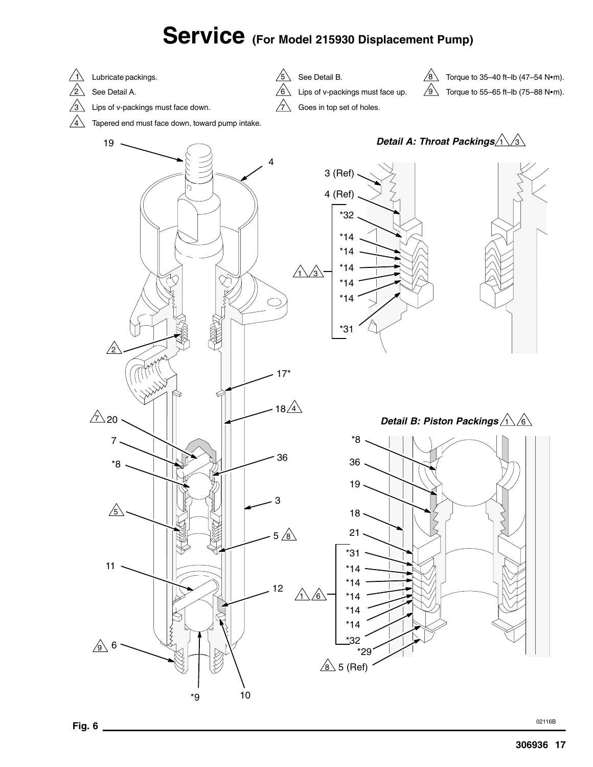## Service (For Model 215930 Displacement Pump)



19

 $\sqrt{3}$ Lips of v-packings must face down.

 $\sqrt{4}$ Tapered end must face down, toward pump intake.

Lips of v-packings must face up.  $\sqrt{5}$  See Detail B. 6

7

Torque to 55-65 ft-lb  $(75-88 \text{ N}\cdot\text{m})$ .  $\sqrt{8}$ Torque to  $35-40$  ft-lb (47-54 N $\bullet$ m). 9





\*32

\*29

<u>8</u>∆ 5 (Ref)

 $\overline{9}$  6

11

7

 $\triangle$  20

\*9

10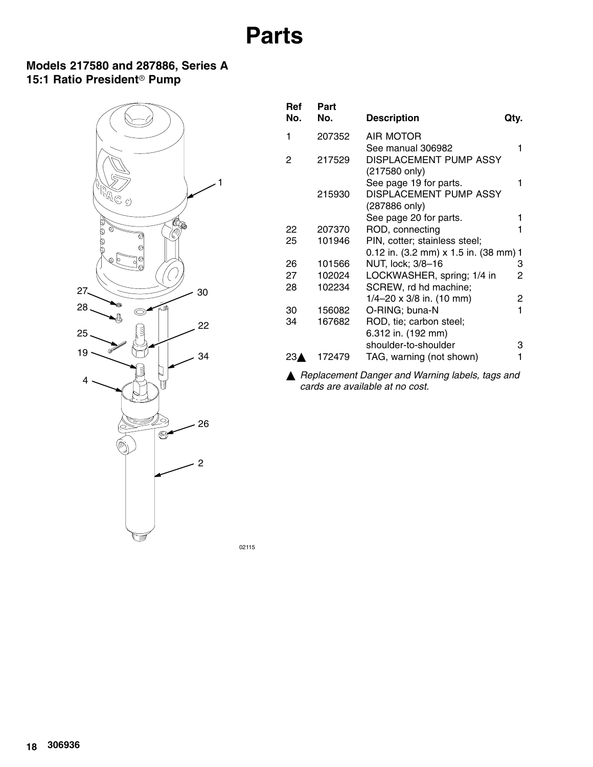## **Parts**

### **Models 217580 and 287886, Series A** 15:1 Ratio President<sup>®</sup> Pump



| 1                                     |
|---------------------------------------|
| 1                                     |
|                                       |
|                                       |
|                                       |
| 0.12 in. (3.2 mm) x 1.5 in. (38 mm) 1 |
| 3                                     |
| 2                                     |
|                                       |
| 2                                     |
| 1                                     |
|                                       |
|                                       |
| З                                     |
|                                       |
|                                       |

 *Replacement Danger and Warning labels, tags and cards are available at no cost.*

02115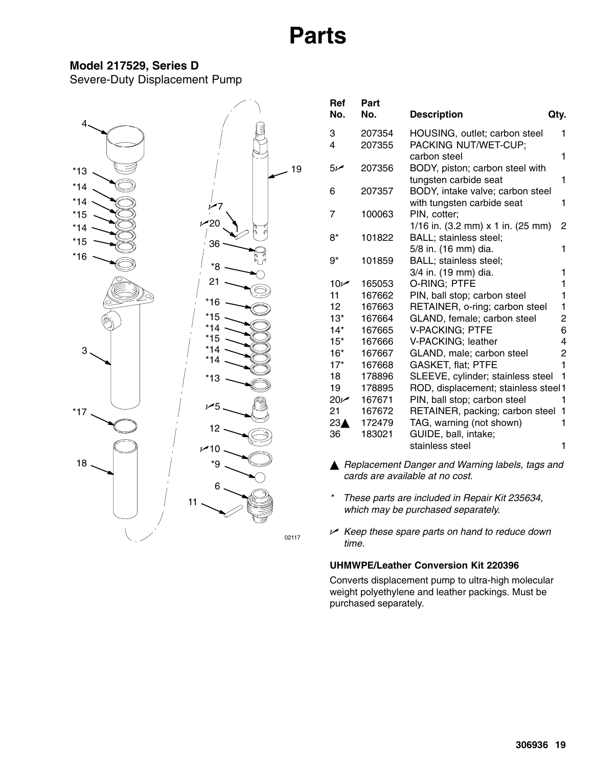## **Parts**

#### **Model 217529, Series D**

Severe-Duty Displacement Pump



| Ref<br>No.      | Part<br>No. | <b>Description</b>                                         | Qty.   |
|-----------------|-------------|------------------------------------------------------------|--------|
| 3               | 207354      | HOUSING, outlet; carbon steel                              | 1      |
| 4               | 207355      | PACKING NUT/WET-CUP;                                       |        |
|                 |             | carbon steel                                               | 1      |
| مر5             | 207356      | BODY, piston; carbon steel with                            |        |
|                 |             | tungsten carbide seat                                      | 1      |
| 6               | 207357      | BODY, intake valve; carbon steel                           |        |
|                 |             | with tungsten carbide seat                                 | 1      |
| 7               | 100063      | PIN, cotter;                                               |        |
|                 |             | 1/16 in. $(3.2 \text{ mm}) \times 1$ in. $(25 \text{ mm})$ | 2      |
| 8*              | 101822      | BALL; stainless steel;                                     |        |
|                 |             | 5/8 in. (16 mm) dia.                                       | 1      |
| 9*              | 101859      | BALL; stainless steel;                                     |        |
|                 |             | 3/4 in. (19 mm) dia.                                       | 1      |
| 10 <sub>k</sub> | 165053      | O-RING: PTFE                                               | 1      |
| 11              | 167662      | PIN, ball stop; carbon steel                               | 1      |
| 12              | 167663      | RETAINER, o-ring; carbon steel                             | 1      |
| $13*$           | 167664      | GLAND, female; carbon steel                                | 2      |
| $14*$           | 167665      | <b>V-PACKING; PTFE</b>                                     | 6      |
| $15*$           | 167666      | V-PACKING; leather                                         | 4      |
| $16*$           | 167667      | GLAND, male; carbon steel                                  | 2<br>1 |
| $17*$           | 167668      | <b>GASKET, flat; PTFE</b>                                  |        |
| 18              | 178896      | SLEEVE, cylinder; stainless steel                          | 1      |
| 19              | 178895      | ROD, displacement; stainless steel1                        |        |
| $20 -$          | 167671      | PIN, ball stop; carbon steel                               | 1      |
| 21              | 167672      | RETAINER, packing; carbon steel                            | 1      |
| 23 <sub>A</sub> | 172479      | TAG, warning (not shown)                                   | 1      |
| 36              | 183021      | GUIDE, ball, intake;                                       | 1      |
|                 |             | stainless steel                                            |        |

- *Replacement Danger and Warning labels, tags and cards are available at no cost.*
- *\* These parts are included in Repair Kit 235634, which may be purchased separately.*
- *Keep these spare parts on hand to reduce down time.*

#### **UHMWPE/Leather Conversion Kit 220396**

Converts displacement pump to ultra-high molecular weight polyethylene and leather packings. Must be purchased separately.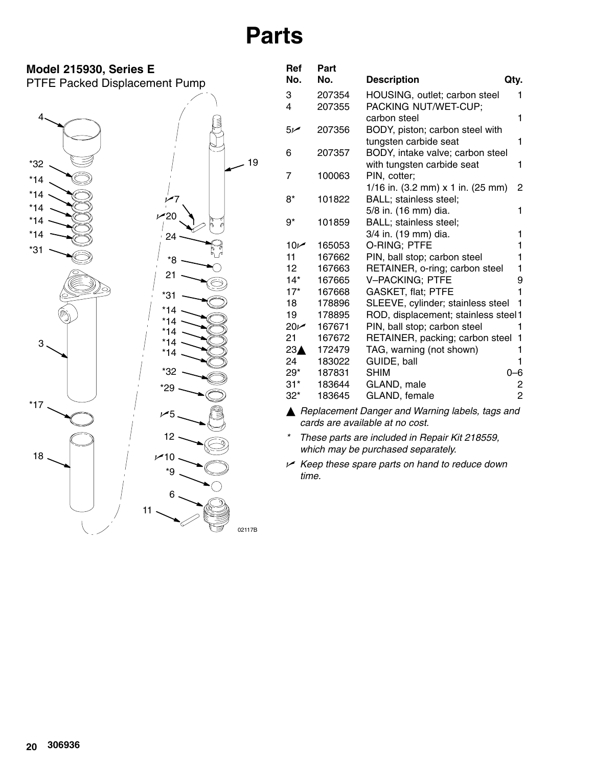# **Parts**



| Ref             | Part   |                                           |      |
|-----------------|--------|-------------------------------------------|------|
| No.             | No.    | <b>Description</b>                        | Qty. |
| 3               | 207354 | HOUSING, outlet; carbon steel             | 1    |
| 4               | 207355 | PACKING NUT/WET-CUP;                      |      |
|                 |        | carbon steel                              | 1    |
| سر5             | 207356 | BODY, piston; carbon steel with           |      |
|                 |        | tungsten carbide seat                     | 1    |
| 6               | 207357 | BODY, intake valve; carbon steel          |      |
|                 |        | with tungsten carbide seat                | 1    |
| 7               | 100063 | PIN, cotter;                              |      |
|                 |        | 1/16 in. (3.2 mm) x 1 in. (25 mm)         | 2    |
| 8*              | 101822 | BALL; stainless steel;                    |      |
|                 |        | 5/8 in. (16 mm) dia.                      | 1    |
| 9*              | 101859 | BALL; stainless steel;                    |      |
|                 |        | 3/4 in. (19 mm) dia.                      | 1    |
| $10\nu$         | 165053 | O-RING; PTFE                              | 1    |
| 11              | 167662 | PIN, ball stop; carbon steel              | 1    |
| 12.             | 167663 | RETAINER, o-ring; carbon steel            | 1    |
| 14*             | 167665 | <b>V-PACKING; PTFE</b>                    | 9    |
| $17*$           | 167668 | <b>GASKET, flat; PTFE</b>                 | 1    |
| 18              | 178896 | SLEEVE, cylinder; stainless steel         | 1    |
| 19              | 178895 | ROD, displacement; stainless steel1       |      |
| $20 -$          | 167671 | PIN, ball stop; carbon steel              | 1    |
| 21              | 167672 | RETAINER, packing; carbon steel           | 1    |
| 23 <sub>A</sub> | 172479 | TAG, warning (not shown)                  | 1    |
| 24              | 183022 | GUIDE, ball                               | 1    |
| 29*             | 187831 | <b>SHIM</b>                               | 0-6  |
| $31*$           | 183644 | GLAND, male                               | 2    |
| $32*$           | 183645 | GLAND, female                             | 2    |
|                 |        | A Deplacement Department Ullevaine Inhala | ᅬ    |

 *Replacement Danger and Warning labels, tags and cards are available at no cost.*

*\* These parts are included in Repair Kit 218559, which may be purchased separately.*

 *Keep these spare parts on hand to reduce down time.*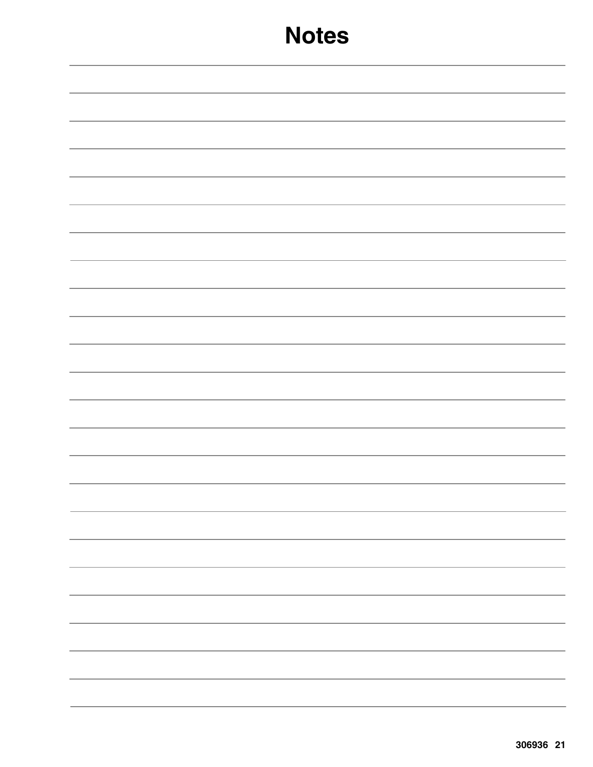| -                        |
|--------------------------|
|                          |
|                          |
|                          |
| $\overline{\phantom{a}}$ |
|                          |
|                          |
|                          |
|                          |
|                          |
|                          |
|                          |
|                          |
|                          |
|                          |
|                          |
|                          |
|                          |
|                          |
|                          |
|                          |
|                          |
| $\overline{\phantom{0}}$ |
|                          |
|                          |
|                          |
|                          |
|                          |
|                          |
|                          |
|                          |
|                          |
|                          |
|                          |
|                          |
|                          |
|                          |
|                          |
| -                        |
|                          |
|                          |
|                          |
|                          |
|                          |
|                          |
|                          |
|                          |
|                          |
|                          |
|                          |
|                          |
|                          |
|                          |
|                          |
|                          |
|                          |
|                          |
|                          |
|                          |
|                          |
|                          |
|                          |
|                          |
|                          |
|                          |
|                          |
|                          |
|                          |
|                          |
|                          |
|                          |
|                          |
|                          |
|                          |
|                          |
|                          |
|                          |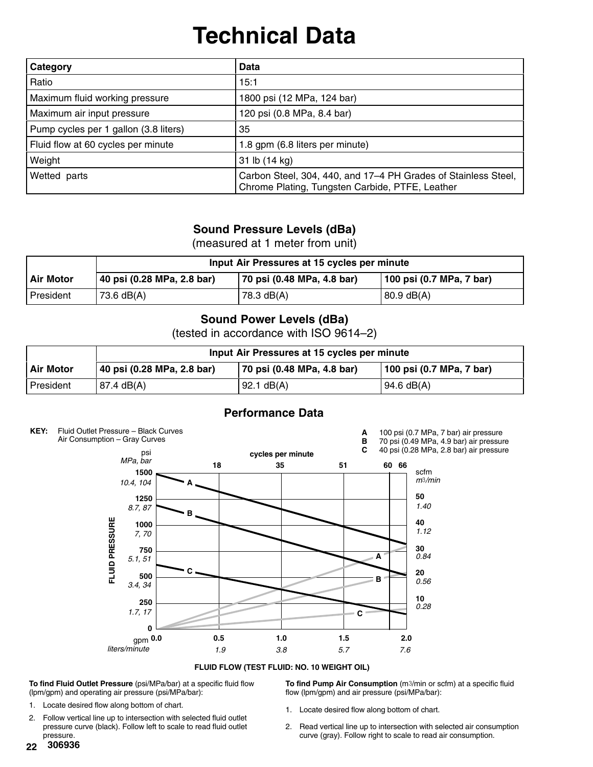# **Technical Data**

| Category                              | Data                                                                                                              |
|---------------------------------------|-------------------------------------------------------------------------------------------------------------------|
| Ratio                                 | 15:1                                                                                                              |
| Maximum fluid working pressure        | 1800 psi (12 MPa, 124 bar)                                                                                        |
| Maximum air input pressure            | 120 psi (0.8 MPa, 8.4 bar)                                                                                        |
| Pump cycles per 1 gallon (3.8 liters) | 35                                                                                                                |
| Fluid flow at 60 cycles per minute    | 1.8 gpm (6.8 liters per minute)                                                                                   |
| Weight                                | 31 lb (14 kg)                                                                                                     |
| Wetted parts                          | Carbon Steel, 304, 440, and 17-4 PH Grades of Stainless Steel,<br>Chrome Plating, Tungsten Carbide, PTFE, Leather |

#### **Sound Pressure Levels (dBa)**

(measured at 1 meter from unit)

|           | Input Air Pressures at 15 cycles per minute |                            |                          |
|-----------|---------------------------------------------|----------------------------|--------------------------|
| Air Motor | 40 psi (0.28 MPa, 2.8 bar)                  | 70 psi (0.48 MPa, 4.8 bar) | 100 psi (0.7 MPa, 7 bar) |
| President | ' 73.6 dB(A)                                | 78.3 dB(A)                 | $80.9 \text{ dB}(A)$     |

#### **Sound Power Levels (dBa)**

(tested in accordance with ISO 9614–2)

|             | Input Air Pressures at 15 cycles per minute |                            |                          |
|-------------|---------------------------------------------|----------------------------|--------------------------|
| l Air Motor | 40 psi (0.28 MPa, 2.8 bar)                  | 70 psi (0.48 MPa, 4.8 bar) | 100 psi (0.7 MPa, 7 bar) |
| l President | $ 87.4$ dB(A)                               | $92.1 \text{ dB}(A)$       | 94.6 dB(A)               |

### **Performance Data**



**FLUID FLOW (TEST FLUID: NO. 10 WEIGHT OIL)**

**To find Fluid Outlet Pressure** (psi/MPa/bar) at a specific fluid flow (lpm/gpm) and operating air pressure (psi/MPa/bar):

- 1. Locate desired flow along bottom of chart.
- 2. Follow vertical line up to intersection with selected fluid outlet pressure curve (black). Follow left to scale to read fluid outlet pressure.

**22 306936**

- **To find Pump Air Consumption** (m3/min or scfm) at a specific fluid flow (lpm/gpm) and air pressure (psi/MPa/bar):
- 1. Locate desired flow along bottom of chart.
- 2. Read vertical line up to intersection with selected air consumption curve (gray). Follow right to scale to read air consumption.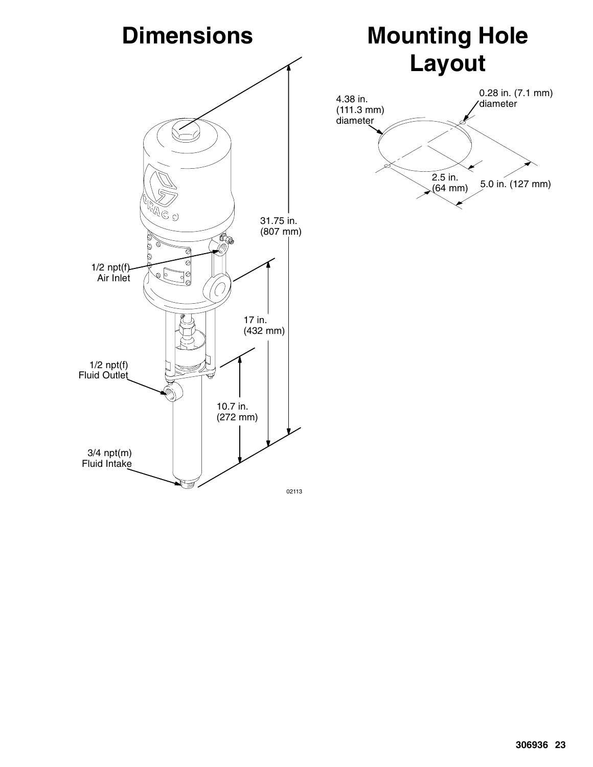